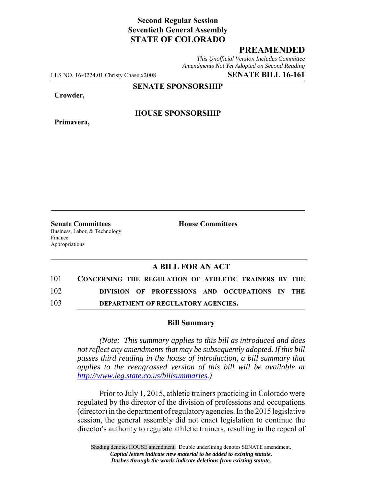## **Second Regular Session Seventieth General Assembly STATE OF COLORADO**

## **PREAMENDED**

*This Unofficial Version Includes Committee Amendments Not Yet Adopted on Second Reading*

LLS NO. 16-0224.01 Christy Chase x2008 **SENATE BILL 16-161**

**SENATE SPONSORSHIP**

**Crowder,**

**Primavera,**

**HOUSE SPONSORSHIP**

**Senate Committees House Committees** Business, Labor, & Technology Finance Appropriations

## **A BILL FOR AN ACT**

| 101 | CONCERNING THE REGULATION OF ATHLETIC TRAINERS BY THE |  |
|-----|-------------------------------------------------------|--|
| 102 | DIVISION OF PROFESSIONS AND OCCUPATIONS IN THE        |  |
| 103 | DEPARTMENT OF REGULATORY AGENCIES.                    |  |

## **Bill Summary**

*(Note: This summary applies to this bill as introduced and does not reflect any amendments that may be subsequently adopted. If this bill passes third reading in the house of introduction, a bill summary that applies to the reengrossed version of this bill will be available at http://www.leg.state.co.us/billsummaries.)*

Prior to July 1, 2015, athletic trainers practicing in Colorado were regulated by the director of the division of professions and occupations (director) in the department of regulatory agencies. In the 2015 legislative session, the general assembly did not enact legislation to continue the director's authority to regulate athletic trainers, resulting in the repeal of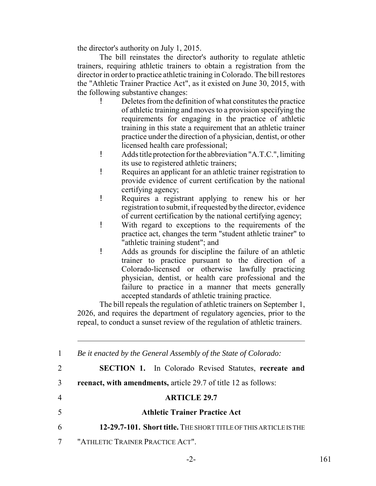the director's authority on July 1, 2015.

The bill reinstates the director's authority to regulate athletic trainers, requiring athletic trainers to obtain a registration from the director in order to practice athletic training in Colorado. The bill restores the "Athletic Trainer Practice Act", as it existed on June 30, 2015, with the following substantive changes:

- ! Deletes from the definition of what constitutes the practice of athletic training and moves to a provision specifying the requirements for engaging in the practice of athletic training in this state a requirement that an athletic trainer practice under the direction of a physician, dentist, or other licensed health care professional;
- ! Adds title protection for the abbreviation "A.T.C.", limiting its use to registered athletic trainers;
- ! Requires an applicant for an athletic trainer registration to provide evidence of current certification by the national certifying agency;
- ! Requires a registrant applying to renew his or her registration to submit, if requested by the director, evidence of current certification by the national certifying agency;
- ! With regard to exceptions to the requirements of the practice act, changes the term "student athletic trainer" to "athletic training student"; and
- ! Adds as grounds for discipline the failure of an athletic trainer to practice pursuant to the direction of a Colorado-licensed or otherwise lawfully practicing physician, dentist, or health care professional and the failure to practice in a manner that meets generally accepted standards of athletic training practice.

The bill repeals the regulation of athletic trainers on September 1, 2026, and requires the department of regulatory agencies, prior to the repeal, to conduct a sunset review of the regulation of athletic trainers.

 *Be it enacted by the General Assembly of the State of Colorado:* **SECTION 1.** In Colorado Revised Statutes, **recreate and reenact, with amendments,** article 29.7 of title 12 as follows: **ARTICLE 29.7 Athletic Trainer Practice Act 12-29.7-101. Short title.** THE SHORT TITLE OF THIS ARTICLE IS THE "ATHLETIC TRAINER PRACTICE ACT".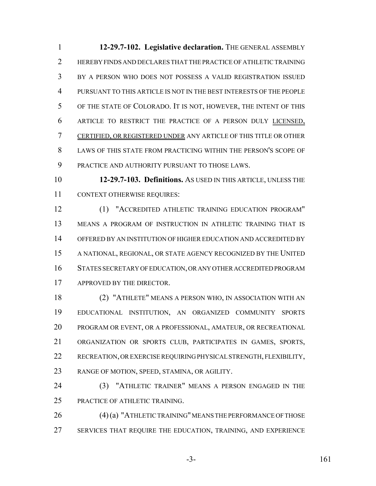**12-29.7-102. Legislative declaration.** THE GENERAL ASSEMBLY HEREBY FINDS AND DECLARES THAT THE PRACTICE OF ATHLETIC TRAINING BY A PERSON WHO DOES NOT POSSESS A VALID REGISTRATION ISSUED PURSUANT TO THIS ARTICLE IS NOT IN THE BEST INTERESTS OF THE PEOPLE OF THE STATE OF COLORADO. IT IS NOT, HOWEVER, THE INTENT OF THIS ARTICLE TO RESTRICT THE PRACTICE OF A PERSON DULY LICENSED, CERTIFIED, OR REGISTERED UNDER ANY ARTICLE OF THIS TITLE OR OTHER 8 LAWS OF THIS STATE FROM PRACTICING WITHIN THE PERSON'S SCOPE OF PRACTICE AND AUTHORITY PURSUANT TO THOSE LAWS.

 **12-29.7-103. Definitions.** AS USED IN THIS ARTICLE, UNLESS THE CONTEXT OTHERWISE REQUIRES:

 (1) "ACCREDITED ATHLETIC TRAINING EDUCATION PROGRAM" MEANS A PROGRAM OF INSTRUCTION IN ATHLETIC TRAINING THAT IS OFFERED BY AN INSTITUTION OF HIGHER EDUCATION AND ACCREDITED BY A NATIONAL, REGIONAL, OR STATE AGENCY RECOGNIZED BY THE UNITED STATES SECRETARY OF EDUCATION, OR ANY OTHER ACCREDITED PROGRAM APPROVED BY THE DIRECTOR.

 (2) "ATHLETE" MEANS A PERSON WHO, IN ASSOCIATION WITH AN EDUCATIONAL INSTITUTION, AN ORGANIZED COMMUNITY SPORTS PROGRAM OR EVENT, OR A PROFESSIONAL, AMATEUR, OR RECREATIONAL ORGANIZATION OR SPORTS CLUB, PARTICIPATES IN GAMES, SPORTS, RECREATION, OR EXERCISE REQUIRING PHYSICAL STRENGTH, FLEXIBILITY, RANGE OF MOTION, SPEED, STAMINA, OR AGILITY.

 (3) "ATHLETIC TRAINER" MEANS A PERSON ENGAGED IN THE PRACTICE OF ATHLETIC TRAINING.

 (4) (a) "ATHLETIC TRAINING" MEANS THE PERFORMANCE OF THOSE SERVICES THAT REQUIRE THE EDUCATION, TRAINING, AND EXPERIENCE

-3- 161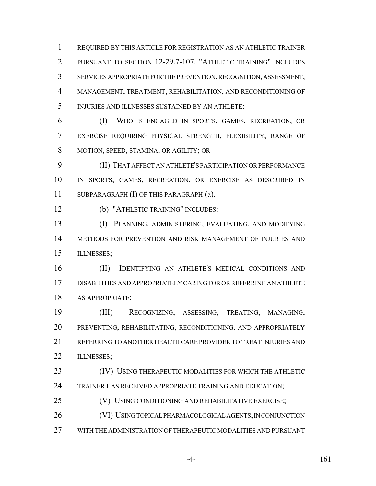REQUIRED BY THIS ARTICLE FOR REGISTRATION AS AN ATHLETIC TRAINER PURSUANT TO SECTION 12-29.7-107. "ATHLETIC TRAINING" INCLUDES SERVICES APPROPRIATE FOR THE PREVENTION, RECOGNITION, ASSESSMENT, MANAGEMENT, TREATMENT, REHABILITATION, AND RECONDITIONING OF INJURIES AND ILLNESSES SUSTAINED BY AN ATHLETE:

 (I) WHO IS ENGAGED IN SPORTS, GAMES, RECREATION, OR EXERCISE REQUIRING PHYSICAL STRENGTH, FLEXIBILITY, RANGE OF MOTION, SPEED, STAMINA, OR AGILITY; OR

 (II) THAT AFFECT AN ATHLETE'S PARTICIPATION OR PERFORMANCE IN SPORTS, GAMES, RECREATION, OR EXERCISE AS DESCRIBED IN SUBPARAGRAPH (I) OF THIS PARAGRAPH (a).

(b) "ATHLETIC TRAINING" INCLUDES:

 (I) PLANNING, ADMINISTERING, EVALUATING, AND MODIFYING METHODS FOR PREVENTION AND RISK MANAGEMENT OF INJURIES AND ILLNESSES;

 (II) IDENTIFYING AN ATHLETE'S MEDICAL CONDITIONS AND DISABILITIES AND APPROPRIATELY CARING FOR OR REFERRING AN ATHLETE AS APPROPRIATE;

 (III) RECOGNIZING, ASSESSING, TREATING, MANAGING, PREVENTING, REHABILITATING, RECONDITIONING, AND APPROPRIATELY REFERRING TO ANOTHER HEALTH CARE PROVIDER TO TREAT INJURIES AND 22 ILLNESSES;

 (IV) USING THERAPEUTIC MODALITIES FOR WHICH THE ATHLETIC TRAINER HAS RECEIVED APPROPRIATE TRAINING AND EDUCATION;

(V) USING CONDITIONING AND REHABILITATIVE EXERCISE;

(VI) USING TOPICAL PHARMACOLOGICAL AGENTS, IN CONJUNCTION

WITH THE ADMINISTRATION OF THERAPEUTIC MODALITIES AND PURSUANT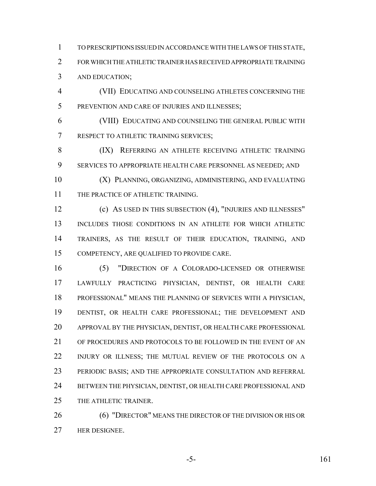TO PRESCRIPTIONS ISSUED IN ACCORDANCE WITH THE LAWS OF THIS STATE, FOR WHICH THE ATHLETIC TRAINER HAS RECEIVED APPROPRIATE TRAINING AND EDUCATION;

 (VII) EDUCATING AND COUNSELING ATHLETES CONCERNING THE PREVENTION AND CARE OF INJURIES AND ILLNESSES;

 (VIII) EDUCATING AND COUNSELING THE GENERAL PUBLIC WITH RESPECT TO ATHLETIC TRAINING SERVICES;

8 (IX) REFERRING AN ATHLETE RECEIVING ATHLETIC TRAINING SERVICES TO APPROPRIATE HEALTH CARE PERSONNEL AS NEEDED; AND

 (X) PLANNING, ORGANIZING, ADMINISTERING, AND EVALUATING 11 THE PRACTICE OF ATHLETIC TRAINING.

 (c) AS USED IN THIS SUBSECTION (4), "INJURIES AND ILLNESSES" INCLUDES THOSE CONDITIONS IN AN ATHLETE FOR WHICH ATHLETIC TRAINERS, AS THE RESULT OF THEIR EDUCATION, TRAINING, AND COMPETENCY, ARE QUALIFIED TO PROVIDE CARE.

 (5) "DIRECTION OF A COLORADO-LICENSED OR OTHERWISE LAWFULLY PRACTICING PHYSICIAN, DENTIST, OR HEALTH CARE PROFESSIONAL" MEANS THE PLANNING OF SERVICES WITH A PHYSICIAN, DENTIST, OR HEALTH CARE PROFESSIONAL; THE DEVELOPMENT AND APPROVAL BY THE PHYSICIAN, DENTIST, OR HEALTH CARE PROFESSIONAL OF PROCEDURES AND PROTOCOLS TO BE FOLLOWED IN THE EVENT OF AN INJURY OR ILLNESS; THE MUTUAL REVIEW OF THE PROTOCOLS ON A PERIODIC BASIS; AND THE APPROPRIATE CONSULTATION AND REFERRAL BETWEEN THE PHYSICIAN, DENTIST, OR HEALTH CARE PROFESSIONAL AND THE ATHLETIC TRAINER.

26 (6) "DIRECTOR" MEANS THE DIRECTOR OF THE DIVISION OR HIS OR HER DESIGNEE.

-5- 161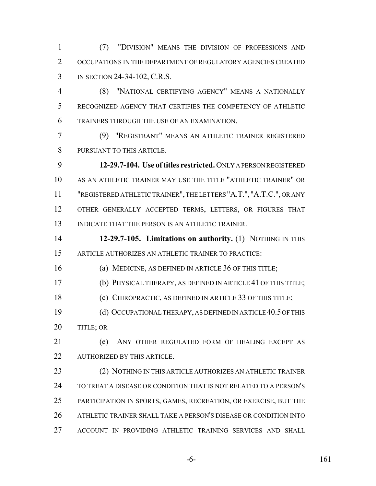(7) "DIVISION" MEANS THE DIVISION OF PROFESSIONS AND 2 OCCUPATIONS IN THE DEPARTMENT OF REGULATORY AGENCIES CREATED IN SECTION 24-34-102, C.R.S.

 (8) "NATIONAL CERTIFYING AGENCY" MEANS A NATIONALLY RECOGNIZED AGENCY THAT CERTIFIES THE COMPETENCY OF ATHLETIC TRAINERS THROUGH THE USE OF AN EXAMINATION.

 (9) "REGISTRANT" MEANS AN ATHLETIC TRAINER REGISTERED PURSUANT TO THIS ARTICLE.

 **12-29.7-104. Use of titles restricted.** ONLY A PERSON REGISTERED AS AN ATHLETIC TRAINER MAY USE THE TITLE "ATHLETIC TRAINER" OR "REGISTERED ATHLETIC TRAINER", THE LETTERS "A.T.", "A.T.C.", OR ANY OTHER GENERALLY ACCEPTED TERMS, LETTERS, OR FIGURES THAT INDICATE THAT THE PERSON IS AN ATHLETIC TRAINER.

 **12-29.7-105. Limitations on authority.** (1) NOTHING IN THIS ARTICLE AUTHORIZES AN ATHLETIC TRAINER TO PRACTICE:

(a) MEDICINE, AS DEFINED IN ARTICLE 36 OF THIS TITLE;

(b) PHYSICAL THERAPY, AS DEFINED IN ARTICLE 41 OF THIS TITLE;

(c) CHIROPRACTIC, AS DEFINED IN ARTICLE 33 OF THIS TITLE;

 (d) OCCUPATIONAL THERAPY, AS DEFINED IN ARTICLE 40.5 OF THIS 20 TITLE; OR

 (e) ANY OTHER REGULATED FORM OF HEALING EXCEPT AS AUTHORIZED BY THIS ARTICLE.

 (2) NOTHING IN THIS ARTICLE AUTHORIZES AN ATHLETIC TRAINER TO TREAT A DISEASE OR CONDITION THAT IS NOT RELATED TO A PERSON'S PARTICIPATION IN SPORTS, GAMES, RECREATION, OR EXERCISE, BUT THE ATHLETIC TRAINER SHALL TAKE A PERSON'S DISEASE OR CONDITION INTO ACCOUNT IN PROVIDING ATHLETIC TRAINING SERVICES AND SHALL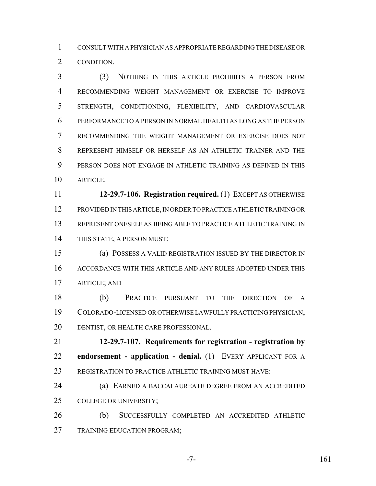CONSULT WITH A PHYSICIAN AS APPROPRIATE REGARDING THE DISEASE OR CONDITION.

 (3) NOTHING IN THIS ARTICLE PROHIBITS A PERSON FROM RECOMMENDING WEIGHT MANAGEMENT OR EXERCISE TO IMPROVE STRENGTH, CONDITIONING, FLEXIBILITY, AND CARDIOVASCULAR PERFORMANCE TO A PERSON IN NORMAL HEALTH AS LONG AS THE PERSON RECOMMENDING THE WEIGHT MANAGEMENT OR EXERCISE DOES NOT REPRESENT HIMSELF OR HERSELF AS AN ATHLETIC TRAINER AND THE PERSON DOES NOT ENGAGE IN ATHLETIC TRAINING AS DEFINED IN THIS ARTICLE.

 **12-29.7-106. Registration required.** (1) EXCEPT AS OTHERWISE PROVIDED IN THIS ARTICLE, IN ORDER TO PRACTICE ATHLETIC TRAINING OR REPRESENT ONESELF AS BEING ABLE TO PRACTICE ATHLETIC TRAINING IN THIS STATE, A PERSON MUST:

 (a) POSSESS A VALID REGISTRATION ISSUED BY THE DIRECTOR IN ACCORDANCE WITH THIS ARTICLE AND ANY RULES ADOPTED UNDER THIS ARTICLE; AND

 (b) PRACTICE PURSUANT TO THE DIRECTION OF A COLORADO-LICENSED OR OTHERWISE LAWFULLY PRACTICING PHYSICIAN, DENTIST, OR HEALTH CARE PROFESSIONAL.

 **12-29.7-107. Requirements for registration - registration by endorsement - application - denial.** (1) EVERY APPLICANT FOR A 23 REGISTRATION TO PRACTICE ATHLETIC TRAINING MUST HAVE:

 (a) EARNED A BACCALAUREATE DEGREE FROM AN ACCREDITED COLLEGE OR UNIVERSITY;

 (b) SUCCESSFULLY COMPLETED AN ACCREDITED ATHLETIC TRAINING EDUCATION PROGRAM;

-7- 161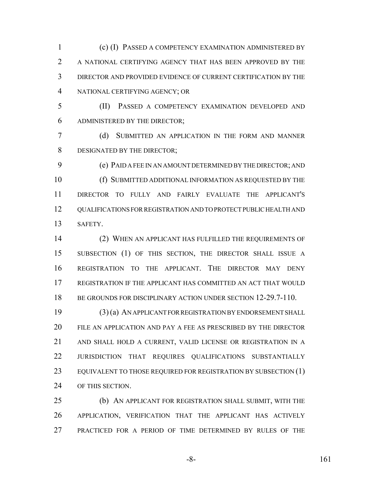(c) (I) PASSED A COMPETENCY EXAMINATION ADMINISTERED BY A NATIONAL CERTIFYING AGENCY THAT HAS BEEN APPROVED BY THE DIRECTOR AND PROVIDED EVIDENCE OF CURRENT CERTIFICATION BY THE NATIONAL CERTIFYING AGENCY; OR

 (II) PASSED A COMPETENCY EXAMINATION DEVELOPED AND ADMINISTERED BY THE DIRECTOR;

 (d) SUBMITTED AN APPLICATION IN THE FORM AND MANNER DESIGNATED BY THE DIRECTOR;

 (e) PAID A FEE IN AN AMOUNT DETERMINED BY THE DIRECTOR; AND (f) SUBMITTED ADDITIONAL INFORMATION AS REQUESTED BY THE DIRECTOR TO FULLY AND FAIRLY EVALUATE THE APPLICANT'S QUALIFICATIONS FOR REGISTRATION AND TO PROTECT PUBLIC HEALTH AND SAFETY.

 (2) WHEN AN APPLICANT HAS FULFILLED THE REQUIREMENTS OF SUBSECTION (1) OF THIS SECTION, THE DIRECTOR SHALL ISSUE A REGISTRATION TO THE APPLICANT. THE DIRECTOR MAY DENY REGISTRATION IF THE APPLICANT HAS COMMITTED AN ACT THAT WOULD 18 BE GROUNDS FOR DISCIPLINARY ACTION UNDER SECTION 12-29.7-110.

 (3) (a) AN APPLICANT FOR REGISTRATION BY ENDORSEMENT SHALL FILE AN APPLICATION AND PAY A FEE AS PRESCRIBED BY THE DIRECTOR AND SHALL HOLD A CURRENT, VALID LICENSE OR REGISTRATION IN A JURISDICTION THAT REQUIRES QUALIFICATIONS SUBSTANTIALLY 23 EQUIVALENT TO THOSE REQUIRED FOR REGISTRATION BY SUBSECTION (1) OF THIS SECTION.

 (b) AN APPLICANT FOR REGISTRATION SHALL SUBMIT, WITH THE APPLICATION, VERIFICATION THAT THE APPLICANT HAS ACTIVELY PRACTICED FOR A PERIOD OF TIME DETERMINED BY RULES OF THE

-8- 161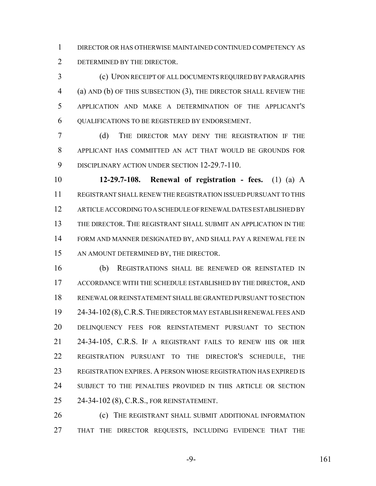DIRECTOR OR HAS OTHERWISE MAINTAINED CONTINUED COMPETENCY AS DETERMINED BY THE DIRECTOR.

 (c) UPON RECEIPT OF ALL DOCUMENTS REQUIRED BY PARAGRAPHS (a) AND (b) OF THIS SUBSECTION (3), THE DIRECTOR SHALL REVIEW THE APPLICATION AND MAKE A DETERMINATION OF THE APPLICANT'S QUALIFICATIONS TO BE REGISTERED BY ENDORSEMENT.

 (d) THE DIRECTOR MAY DENY THE REGISTRATION IF THE APPLICANT HAS COMMITTED AN ACT THAT WOULD BE GROUNDS FOR 9 DISCIPLINARY ACTION UNDER SECTION 12-29.7-110.

 **12-29.7-108. Renewal of registration - fees.** (1) (a) A REGISTRANT SHALL RENEW THE REGISTRATION ISSUED PURSUANT TO THIS ARTICLE ACCORDING TO A SCHEDULE OF RENEWAL DATES ESTABLISHED BY THE DIRECTOR. THE REGISTRANT SHALL SUBMIT AN APPLICATION IN THE FORM AND MANNER DESIGNATED BY, AND SHALL PAY A RENEWAL FEE IN 15 AN AMOUNT DETERMINED BY, THE DIRECTOR.

 (b) REGISTRATIONS SHALL BE RENEWED OR REINSTATED IN ACCORDANCE WITH THE SCHEDULE ESTABLISHED BY THE DIRECTOR, AND RENEWAL OR REINSTATEMENT SHALL BE GRANTED PURSUANT TO SECTION 24-34-102 (8),C.R.S.THE DIRECTOR MAY ESTABLISH RENEWAL FEES AND DELINQUENCY FEES FOR REINSTATEMENT PURSUANT TO SECTION 24-34-105, C.R.S. IF A REGISTRANT FAILS TO RENEW HIS OR HER REGISTRATION PURSUANT TO THE DIRECTOR'S SCHEDULE, THE REGISTRATION EXPIRES. A PERSON WHOSE REGISTRATION HAS EXPIRED IS SUBJECT TO THE PENALTIES PROVIDED IN THIS ARTICLE OR SECTION 24-34-102 (8), C.R.S., FOR REINSTATEMENT.

 (c) THE REGISTRANT SHALL SUBMIT ADDITIONAL INFORMATION THAT THE DIRECTOR REQUESTS, INCLUDING EVIDENCE THAT THE

-9- 161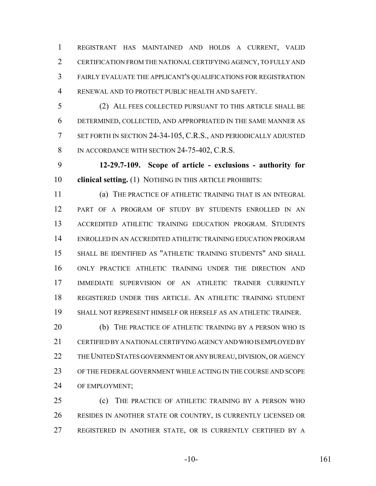REGISTRANT HAS MAINTAINED AND HOLDS A CURRENT, VALID CERTIFICATION FROM THE NATIONAL CERTIFYING AGENCY, TO FULLY AND FAIRLY EVALUATE THE APPLICANT'S QUALIFICATIONS FOR REGISTRATION RENEWAL AND TO PROTECT PUBLIC HEALTH AND SAFETY.

 (2) ALL FEES COLLECTED PURSUANT TO THIS ARTICLE SHALL BE DETERMINED, COLLECTED, AND APPROPRIATED IN THE SAME MANNER AS SET FORTH IN SECTION 24-34-105, C.R.S., AND PERIODICALLY ADJUSTED 8 IN ACCORDANCE WITH SECTION 24-75-402, C.R.S.

 **12-29.7-109. Scope of article - exclusions - authority for clinical setting.** (1) NOTHING IN THIS ARTICLE PROHIBITS:

 (a) THE PRACTICE OF ATHLETIC TRAINING THAT IS AN INTEGRAL PART OF A PROGRAM OF STUDY BY STUDENTS ENROLLED IN AN ACCREDITED ATHLETIC TRAINING EDUCATION PROGRAM. STUDENTS ENROLLED IN AN ACCREDITED ATHLETIC TRAINING EDUCATION PROGRAM SHALL BE IDENTIFIED AS "ATHLETIC TRAINING STUDENTS" AND SHALL ONLY PRACTICE ATHLETIC TRAINING UNDER THE DIRECTION AND IMMEDIATE SUPERVISION OF AN ATHLETIC TRAINER CURRENTLY REGISTERED UNDER THIS ARTICLE. AN ATHLETIC TRAINING STUDENT SHALL NOT REPRESENT HIMSELF OR HERSELF AS AN ATHLETIC TRAINER.

 (b) THE PRACTICE OF ATHLETIC TRAINING BY A PERSON WHO IS CERTIFIED BY A NATIONAL CERTIFYING AGENCY AND WHO IS EMPLOYED BY THE UNITED STATES GOVERNMENT OR ANY BUREAU, DIVISION, OR AGENCY OF THE FEDERAL GOVERNMENT WHILE ACTING IN THE COURSE AND SCOPE OF EMPLOYMENT;

 (c) THE PRACTICE OF ATHLETIC TRAINING BY A PERSON WHO RESIDES IN ANOTHER STATE OR COUNTRY, IS CURRENTLY LICENSED OR REGISTERED IN ANOTHER STATE, OR IS CURRENTLY CERTIFIED BY A

-10- 161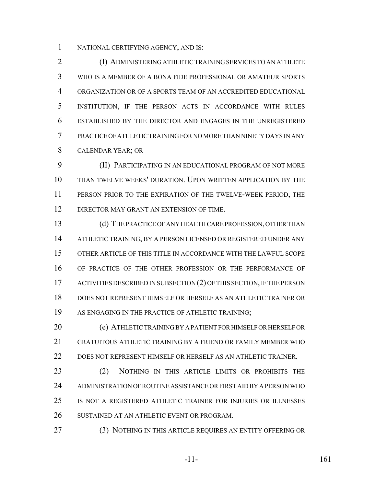NATIONAL CERTIFYING AGENCY, AND IS:

 (I) ADMINISTERING ATHLETIC TRAINING SERVICES TO AN ATHLETE WHO IS A MEMBER OF A BONA FIDE PROFESSIONAL OR AMATEUR SPORTS ORGANIZATION OR OF A SPORTS TEAM OF AN ACCREDITED EDUCATIONAL INSTITUTION, IF THE PERSON ACTS IN ACCORDANCE WITH RULES ESTABLISHED BY THE DIRECTOR AND ENGAGES IN THE UNREGISTERED PRACTICE OF ATHLETIC TRAINING FOR NO MORE THAN NINETY DAYS IN ANY CALENDAR YEAR; OR

 (II) PARTICIPATING IN AN EDUCATIONAL PROGRAM OF NOT MORE THAN TWELVE WEEKS' DURATION. UPON WRITTEN APPLICATION BY THE PERSON PRIOR TO THE EXPIRATION OF THE TWELVE-WEEK PERIOD, THE 12 DIRECTOR MAY GRANT AN EXTENSION OF TIME.

 (d) THE PRACTICE OF ANY HEALTH CARE PROFESSION, OTHER THAN ATHLETIC TRAINING, BY A PERSON LICENSED OR REGISTERED UNDER ANY OTHER ARTICLE OF THIS TITLE IN ACCORDANCE WITH THE LAWFUL SCOPE OF PRACTICE OF THE OTHER PROFESSION OR THE PERFORMANCE OF ACTIVITIES DESCRIBED IN SUBSECTION (2) OF THIS SECTION, IF THE PERSON DOES NOT REPRESENT HIMSELF OR HERSELF AS AN ATHLETIC TRAINER OR AS ENGAGING IN THE PRACTICE OF ATHLETIC TRAINING;

 (e) ATHLETIC TRAINING BY A PATIENT FOR HIMSELF OR HERSELF OR GRATUITOUS ATHLETIC TRAINING BY A FRIEND OR FAMILY MEMBER WHO DOES NOT REPRESENT HIMSELF OR HERSELF AS AN ATHLETIC TRAINER.

23 (2) NOTHING IN THIS ARTICLE LIMITS OR PROHIBITS THE ADMINISTRATION OF ROUTINE ASSISTANCE OR FIRST AID BY A PERSON WHO IS NOT A REGISTERED ATHLETIC TRAINER FOR INJURIES OR ILLNESSES SUSTAINED AT AN ATHLETIC EVENT OR PROGRAM.

(3) NOTHING IN THIS ARTICLE REQUIRES AN ENTITY OFFERING OR

-11- 161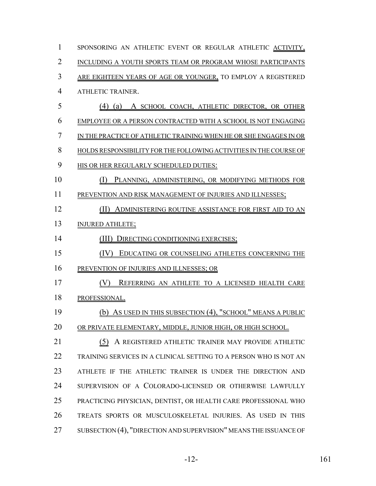| 1              | SPONSORING AN ATHLETIC EVENT OR REGULAR ATHLETIC ACTIVITY,         |
|----------------|--------------------------------------------------------------------|
| $\overline{2}$ | INCLUDING A YOUTH SPORTS TEAM OR PROGRAM WHOSE PARTICIPANTS        |
| 3              | ARE EIGHTEEN YEARS OF AGE OR YOUNGER, TO EMPLOY A REGISTERED       |
| 4              | ATHLETIC TRAINER.                                                  |
| 5              | (4) (a) A SCHOOL COACH, ATHLETIC DIRECTOR, OR OTHER                |
| 6              | EMPLOYEE OR A PERSON CONTRACTED WITH A SCHOOL IS NOT ENGAGING      |
| 7              | IN THE PRACTICE OF ATHLETIC TRAINING WHEN HE OR SHE ENGAGES IN OR  |
| 8              | HOLDS RESPONSIBILITY FOR THE FOLLOWING ACTIVITIES IN THE COURSE OF |
| 9              | HIS OR HER REGULARLY SCHEDULED DUTIES:                             |
| 10             | (1)<br>PLANNING, ADMINISTERING, OR MODIFYING METHODS FOR           |
| 11             | PREVENTION AND RISK MANAGEMENT OF INJURIES AND ILLNESSES;          |
| 12             | ADMINISTERING ROUTINE ASSISTANCE FOR FIRST AID TO AN<br>(II)       |
| 13             | <b>INJURED ATHLETE;</b>                                            |
| 14             | DIRECTING CONDITIONING EXERCISES;<br>(III)                         |
| 15             | (IV)<br>EDUCATING OR COUNSELING ATHLETES CONCERNING THE            |
| 16             | PREVENTION OF INJURIES AND ILLNESSES; OR                           |
| 17             | REFERRING AN ATHLETE TO A LICENSED HEALTH CARE                     |
| 18             | PROFESSIONAL.                                                      |
| 19             | (b) As USED IN THIS SUBSECTION (4), "SCHOOL" MEANS A PUBLIC        |
| 20             | OR PRIVATE ELEMENTARY, MIDDLE, JUNIOR HIGH, OR HIGH SCHOOL.        |
| 21             | A REGISTERED ATHLETIC TRAINER MAY PROVIDE ATHLETIC<br>(5)          |
| 22             | TRAINING SERVICES IN A CLINICAL SETTING TO A PERSON WHO IS NOT AN  |
| 23             | ATHLETE IF THE ATHLETIC TRAINER IS UNDER THE DIRECTION AND         |
| 24             | SUPERVISION OF A COLORADO-LICENSED OR OTHERWISE LAWFULLY           |
| 25             | PRACTICING PHYSICIAN, DENTIST, OR HEALTH CARE PROFESSIONAL WHO     |
| 26             | TREATS SPORTS OR MUSCULOSKELETAL INJURIES. AS USED IN THIS         |
| 27             | SUBSECTION (4), "DIRECTION AND SUPERVISION" MEANS THE ISSUANCE OF  |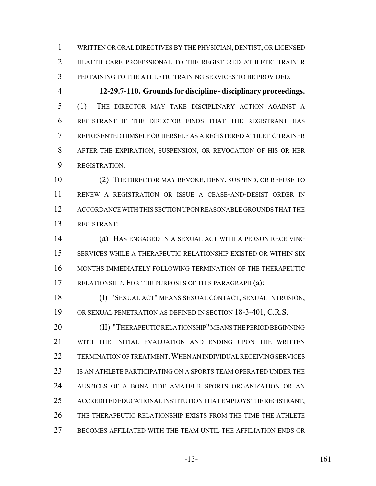WRITTEN OR ORAL DIRECTIVES BY THE PHYSICIAN, DENTIST, OR LICENSED HEALTH CARE PROFESSIONAL TO THE REGISTERED ATHLETIC TRAINER PERTAINING TO THE ATHLETIC TRAINING SERVICES TO BE PROVIDED.

 **12-29.7-110. Grounds for discipline - disciplinary proceedings.** (1) THE DIRECTOR MAY TAKE DISCIPLINARY ACTION AGAINST A REGISTRANT IF THE DIRECTOR FINDS THAT THE REGISTRANT HAS REPRESENTED HIMSELF OR HERSELF AS A REGISTERED ATHLETIC TRAINER AFTER THE EXPIRATION, SUSPENSION, OR REVOCATION OF HIS OR HER REGISTRATION.

 (2) THE DIRECTOR MAY REVOKE, DENY, SUSPEND, OR REFUSE TO RENEW A REGISTRATION OR ISSUE A CEASE-AND-DESIST ORDER IN ACCORDANCE WITH THIS SECTION UPON REASONABLE GROUNDS THAT THE REGISTRANT:

 (a) HAS ENGAGED IN A SEXUAL ACT WITH A PERSON RECEIVING SERVICES WHILE A THERAPEUTIC RELATIONSHIP EXISTED OR WITHIN SIX MONTHS IMMEDIATELY FOLLOWING TERMINATION OF THE THERAPEUTIC RELATIONSHIP. FOR THE PURPOSES OF THIS PARAGRAPH (a):

 (I) "SEXUAL ACT" MEANS SEXUAL CONTACT, SEXUAL INTRUSION, OR SEXUAL PENETRATION AS DEFINED IN SECTION 18-3-401, C.R.S.

**(II) "THERAPEUTIC RELATIONSHIP" MEANS THE PERIOD BEGINNING**  WITH THE INITIAL EVALUATION AND ENDING UPON THE WRITTEN TERMINATION OF TREATMENT.WHEN AN INDIVIDUAL RECEIVING SERVICES IS AN ATHLETE PARTICIPATING ON A SPORTS TEAM OPERATED UNDER THE AUSPICES OF A BONA FIDE AMATEUR SPORTS ORGANIZATION OR AN ACCREDITED EDUCATIONAL INSTITUTION THAT EMPLOYS THE REGISTRANT, THE THERAPEUTIC RELATIONSHIP EXISTS FROM THE TIME THE ATHLETE BECOMES AFFILIATED WITH THE TEAM UNTIL THE AFFILIATION ENDS OR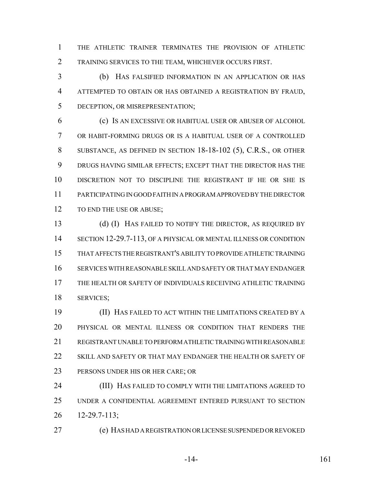THE ATHLETIC TRAINER TERMINATES THE PROVISION OF ATHLETIC TRAINING SERVICES TO THE TEAM, WHICHEVER OCCURS FIRST.

 (b) HAS FALSIFIED INFORMATION IN AN APPLICATION OR HAS ATTEMPTED TO OBTAIN OR HAS OBTAINED A REGISTRATION BY FRAUD, DECEPTION, OR MISREPRESENTATION;

 (c) IS AN EXCESSIVE OR HABITUAL USER OR ABUSER OF ALCOHOL OR HABIT-FORMING DRUGS OR IS A HABITUAL USER OF A CONTROLLED SUBSTANCE, AS DEFINED IN SECTION 18-18-102 (5), C.R.S., OR OTHER DRUGS HAVING SIMILAR EFFECTS; EXCEPT THAT THE DIRECTOR HAS THE DISCRETION NOT TO DISCIPLINE THE REGISTRANT IF HE OR SHE IS PARTICIPATING IN GOOD FAITH IN A PROGRAM APPROVED BY THE DIRECTOR 12 TO END THE USE OR ABUSE;

13 (d) (I) HAS FAILED TO NOTIFY THE DIRECTOR, AS REQUIRED BY SECTION 12-29.7-113, OF A PHYSICAL OR MENTAL ILLNESS OR CONDITION THAT AFFECTS THE REGISTRANT'S ABILITY TO PROVIDE ATHLETIC TRAINING SERVICES WITH REASONABLE SKILL AND SAFETY OR THAT MAY ENDANGER THE HEALTH OR SAFETY OF INDIVIDUALS RECEIVING ATHLETIC TRAINING SERVICES;

 (II) HAS FAILED TO ACT WITHIN THE LIMITATIONS CREATED BY A PHYSICAL OR MENTAL ILLNESS OR CONDITION THAT RENDERS THE REGISTRANT UNABLE TO PERFORM ATHLETIC TRAINING WITH REASONABLE SKILL AND SAFETY OR THAT MAY ENDANGER THE HEALTH OR SAFETY OF PERSONS UNDER HIS OR HER CARE; OR

 (III) HAS FAILED TO COMPLY WITH THE LIMITATIONS AGREED TO UNDER A CONFIDENTIAL AGREEMENT ENTERED PURSUANT TO SECTION 12-29.7-113;

(e) HAS HAD A REGISTRATION OR LICENSE SUSPENDED OR REVOKED

-14- 161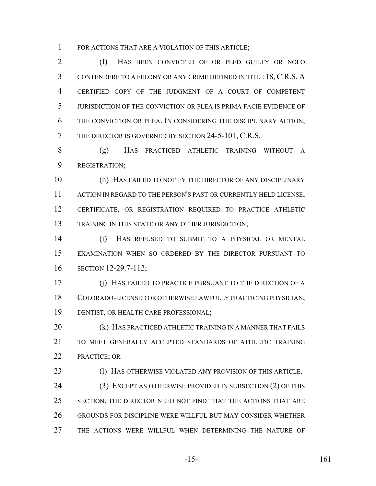1 FOR ACTIONS THAT ARE A VIOLATION OF THIS ARTICLE;

 (f) HAS BEEN CONVICTED OF OR PLED GUILTY OR NOLO CONTENDERE TO A FELONY OR ANY CRIME DEFINED IN TITLE 18, C.R.S. A CERTIFIED COPY OF THE JUDGMENT OF A COURT OF COMPETENT JURISDICTION OF THE CONVICTION OR PLEA IS PRIMA FACIE EVIDENCE OF THE CONVICTION OR PLEA. IN CONSIDERING THE DISCIPLINARY ACTION, THE DIRECTOR IS GOVERNED BY SECTION 24-5-101, C.R.S.

 (g) HAS PRACTICED ATHLETIC TRAINING WITHOUT A REGISTRATION;

 (h) HAS FAILED TO NOTIFY THE DIRECTOR OF ANY DISCIPLINARY 11 ACTION IN REGARD TO THE PERSON'S PAST OR CURRENTLY HELD LICENSE, CERTIFICATE, OR REGISTRATION REQUIRED TO PRACTICE ATHLETIC TRAINING IN THIS STATE OR ANY OTHER JURISDICTION;

 (i) HAS REFUSED TO SUBMIT TO A PHYSICAL OR MENTAL EXAMINATION WHEN SO ORDERED BY THE DIRECTOR PURSUANT TO SECTION 12-29.7-112;

 (j) HAS FAILED TO PRACTICE PURSUANT TO THE DIRECTION OF A COLORADO-LICENSED OR OTHERWISE LAWFULLY PRACTICING PHYSICIAN, DENTIST, OR HEALTH CARE PROFESSIONAL;

**(k) HAS PRACTICED ATHLETIC TRAINING IN A MANNER THAT FAILS**  TO MEET GENERALLY ACCEPTED STANDARDS OF ATHLETIC TRAINING PRACTICE; OR

(l) HAS OTHERWISE VIOLATED ANY PROVISION OF THIS ARTICLE.

 (3) EXCEPT AS OTHERWISE PROVIDED IN SUBSECTION (2) OF THIS 25 SECTION, THE DIRECTOR NEED NOT FIND THAT THE ACTIONS THAT ARE GROUNDS FOR DISCIPLINE WERE WILLFUL BUT MAY CONSIDER WHETHER THE ACTIONS WERE WILLFUL WHEN DETERMINING THE NATURE OF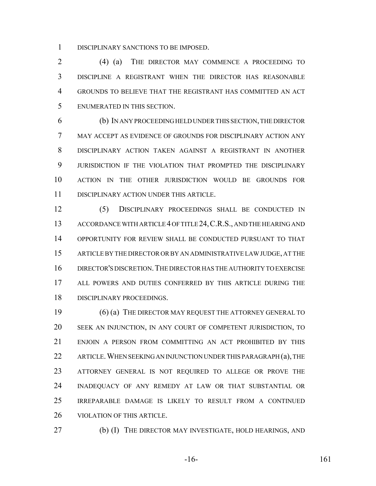DISCIPLINARY SANCTIONS TO BE IMPOSED.

 (4) (a) THE DIRECTOR MAY COMMENCE A PROCEEDING TO DISCIPLINE A REGISTRANT WHEN THE DIRECTOR HAS REASONABLE GROUNDS TO BELIEVE THAT THE REGISTRANT HAS COMMITTED AN ACT ENUMERATED IN THIS SECTION.

 (b) IN ANY PROCEEDING HELD UNDER THIS SECTION, THE DIRECTOR MAY ACCEPT AS EVIDENCE OF GROUNDS FOR DISCIPLINARY ACTION ANY DISCIPLINARY ACTION TAKEN AGAINST A REGISTRANT IN ANOTHER JURISDICTION IF THE VIOLATION THAT PROMPTED THE DISCIPLINARY ACTION IN THE OTHER JURISDICTION WOULD BE GROUNDS FOR DISCIPLINARY ACTION UNDER THIS ARTICLE.

 (5) DISCIPLINARY PROCEEDINGS SHALL BE CONDUCTED IN ACCORDANCE WITH ARTICLE 4 OF TITLE 24,C.R.S., AND THE HEARING AND OPPORTUNITY FOR REVIEW SHALL BE CONDUCTED PURSUANT TO THAT ARTICLE BY THE DIRECTOR OR BY AN ADMINISTRATIVE LAW JUDGE, AT THE DIRECTOR'S DISCRETION.THE DIRECTOR HAS THE AUTHORITY TO EXERCISE ALL POWERS AND DUTIES CONFERRED BY THIS ARTICLE DURING THE DISCIPLINARY PROCEEDINGS.

 (6) (a) THE DIRECTOR MAY REQUEST THE ATTORNEY GENERAL TO SEEK AN INJUNCTION, IN ANY COURT OF COMPETENT JURISDICTION, TO ENJOIN A PERSON FROM COMMITTING AN ACT PROHIBITED BY THIS 22 ARTICLE. WHEN SEEKING AN INJUNCTION UNDER THIS PARAGRAPH (a), THE ATTORNEY GENERAL IS NOT REQUIRED TO ALLEGE OR PROVE THE INADEQUACY OF ANY REMEDY AT LAW OR THAT SUBSTANTIAL OR IRREPARABLE DAMAGE IS LIKELY TO RESULT FROM A CONTINUED VIOLATION OF THIS ARTICLE.

(b) (I) THE DIRECTOR MAY INVESTIGATE, HOLD HEARINGS, AND

-16- 161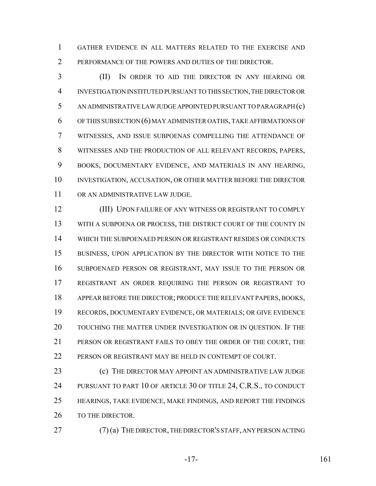GATHER EVIDENCE IN ALL MATTERS RELATED TO THE EXERCISE AND PERFORMANCE OF THE POWERS AND DUTIES OF THE DIRECTOR.

 (II) IN ORDER TO AID THE DIRECTOR IN ANY HEARING OR INVESTIGATION INSTITUTED PURSUANT TO THIS SECTION, THE DIRECTOR OR AN ADMINISTRATIVE LAW JUDGE APPOINTED PURSUANT TO PARAGRAPH (c) OF THIS SUBSECTION (6) MAY ADMINISTER OATHS, TAKE AFFIRMATIONS OF WITNESSES, AND ISSUE SUBPOENAS COMPELLING THE ATTENDANCE OF WITNESSES AND THE PRODUCTION OF ALL RELEVANT RECORDS, PAPERS, BOOKS, DOCUMENTARY EVIDENCE, AND MATERIALS IN ANY HEARING, INVESTIGATION, ACCUSATION, OR OTHER MATTER BEFORE THE DIRECTOR OR AN ADMINISTRATIVE LAW JUDGE.

 (III) UPON FAILURE OF ANY WITNESS OR REGISTRANT TO COMPLY 13 WITH A SUBPOENA OR PROCESS, THE DISTRICT COURT OF THE COUNTY IN WHICH THE SUBPOENAED PERSON OR REGISTRANT RESIDES OR CONDUCTS BUSINESS, UPON APPLICATION BY THE DIRECTOR WITH NOTICE TO THE SUBPOENAED PERSON OR REGISTRANT, MAY ISSUE TO THE PERSON OR REGISTRANT AN ORDER REQUIRING THE PERSON OR REGISTRANT TO APPEAR BEFORE THE DIRECTOR; PRODUCE THE RELEVANT PAPERS, BOOKS, RECORDS, DOCUMENTARY EVIDENCE, OR MATERIALS; OR GIVE EVIDENCE TOUCHING THE MATTER UNDER INVESTIGATION OR IN QUESTION. IF THE PERSON OR REGISTRANT FAILS TO OBEY THE ORDER OF THE COURT, THE PERSON OR REGISTRANT MAY BE HELD IN CONTEMPT OF COURT.

**(c)** THE DIRECTOR MAY APPOINT AN ADMINISTRATIVE LAW JUDGE 24 PURSUANT TO PART 10 OF ARTICLE 30 OF TITLE 24, C.R.S., TO CONDUCT HEARINGS, TAKE EVIDENCE, MAKE FINDINGS, AND REPORT THE FINDINGS 26 TO THE DIRECTOR.

(7) (a) THE DIRECTOR, THE DIRECTOR'S STAFF, ANY PERSON ACTING

$$
-17-161
$$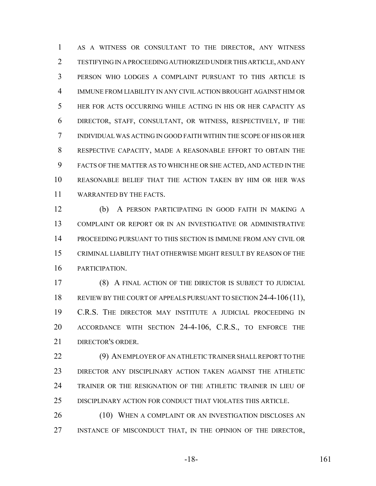AS A WITNESS OR CONSULTANT TO THE DIRECTOR, ANY WITNESS TESTIFYING IN A PROCEEDING AUTHORIZED UNDER THIS ARTICLE, AND ANY PERSON WHO LODGES A COMPLAINT PURSUANT TO THIS ARTICLE IS IMMUNE FROM LIABILITY IN ANY CIVIL ACTION BROUGHT AGAINST HIM OR HER FOR ACTS OCCURRING WHILE ACTING IN HIS OR HER CAPACITY AS DIRECTOR, STAFF, CONSULTANT, OR WITNESS, RESPECTIVELY, IF THE INDIVIDUAL WAS ACTING IN GOOD FAITH WITHIN THE SCOPE OF HIS OR HER RESPECTIVE CAPACITY, MADE A REASONABLE EFFORT TO OBTAIN THE FACTS OF THE MATTER AS TO WHICH HE OR SHE ACTED, AND ACTED IN THE REASONABLE BELIEF THAT THE ACTION TAKEN BY HIM OR HER WAS WARRANTED BY THE FACTS.

 (b) A PERSON PARTICIPATING IN GOOD FAITH IN MAKING A COMPLAINT OR REPORT OR IN AN INVESTIGATIVE OR ADMINISTRATIVE PROCEEDING PURSUANT TO THIS SECTION IS IMMUNE FROM ANY CIVIL OR CRIMINAL LIABILITY THAT OTHERWISE MIGHT RESULT BY REASON OF THE PARTICIPATION.

 (8) A FINAL ACTION OF THE DIRECTOR IS SUBJECT TO JUDICIAL 18 REVIEW BY THE COURT OF APPEALS PURSUANT TO SECTION 24-4-106 (11), C.R.S. THE DIRECTOR MAY INSTITUTE A JUDICIAL PROCEEDING IN ACCORDANCE WITH SECTION 24-4-106, C.R.S., TO ENFORCE THE DIRECTOR'S ORDER.

 (9) AN EMPLOYER OF AN ATHLETIC TRAINER SHALL REPORT TO THE DIRECTOR ANY DISCIPLINARY ACTION TAKEN AGAINST THE ATHLETIC TRAINER OR THE RESIGNATION OF THE ATHLETIC TRAINER IN LIEU OF DISCIPLINARY ACTION FOR CONDUCT THAT VIOLATES THIS ARTICLE.

26 (10) WHEN A COMPLAINT OR AN INVESTIGATION DISCLOSES AN INSTANCE OF MISCONDUCT THAT, IN THE OPINION OF THE DIRECTOR,

-18- 161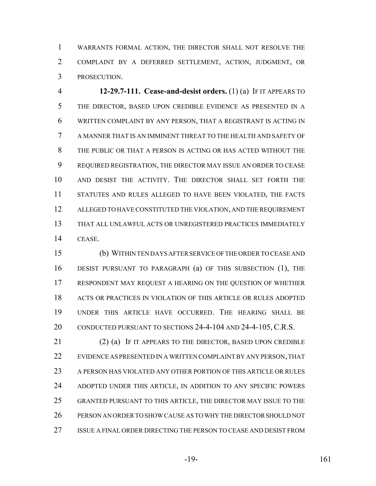WARRANTS FORMAL ACTION, THE DIRECTOR SHALL NOT RESOLVE THE COMPLAINT BY A DEFERRED SETTLEMENT, ACTION, JUDGMENT, OR PROSECUTION.

 **12-29.7-111. Cease-and-desist orders.** (1) (a) IF IT APPEARS TO THE DIRECTOR, BASED UPON CREDIBLE EVIDENCE AS PRESENTED IN A WRITTEN COMPLAINT BY ANY PERSON, THAT A REGISTRANT IS ACTING IN A MANNER THAT IS AN IMMINENT THREAT TO THE HEALTH AND SAFETY OF THE PUBLIC OR THAT A PERSON IS ACTING OR HAS ACTED WITHOUT THE REQUIRED REGISTRATION, THE DIRECTOR MAY ISSUE AN ORDER TO CEASE AND DESIST THE ACTIVITY. THE DIRECTOR SHALL SET FORTH THE STATUTES AND RULES ALLEGED TO HAVE BEEN VIOLATED, THE FACTS ALLEGED TO HAVE CONSTITUTED THE VIOLATION, AND THE REQUIREMENT THAT ALL UNLAWFUL ACTS OR UNREGISTERED PRACTICES IMMEDIATELY CEASE.

 (b) WITHIN TEN DAYS AFTER SERVICE OF THE ORDER TO CEASE AND DESIST PURSUANT TO PARAGRAPH (a) OF THIS SUBSECTION (1), THE RESPONDENT MAY REQUEST A HEARING ON THE QUESTION OF WHETHER ACTS OR PRACTICES IN VIOLATION OF THIS ARTICLE OR RULES ADOPTED UNDER THIS ARTICLE HAVE OCCURRED. THE HEARING SHALL BE 20 CONDUCTED PURSUANT TO SECTIONS 24-4-104 AND 24-4-105, C.R.S.

21 (2) (a) IF IT APPEARS TO THE DIRECTOR, BASED UPON CREDIBLE EVIDENCE AS PRESENTED IN A WRITTEN COMPLAINT BY ANY PERSON, THAT A PERSON HAS VIOLATED ANY OTHER PORTION OF THIS ARTICLE OR RULES ADOPTED UNDER THIS ARTICLE, IN ADDITION TO ANY SPECIFIC POWERS GRANTED PURSUANT TO THIS ARTICLE, THE DIRECTOR MAY ISSUE TO THE PERSON AN ORDER TO SHOW CAUSE AS TO WHY THE DIRECTOR SHOULD NOT ISSUE A FINAL ORDER DIRECTING THE PERSON TO CEASE AND DESIST FROM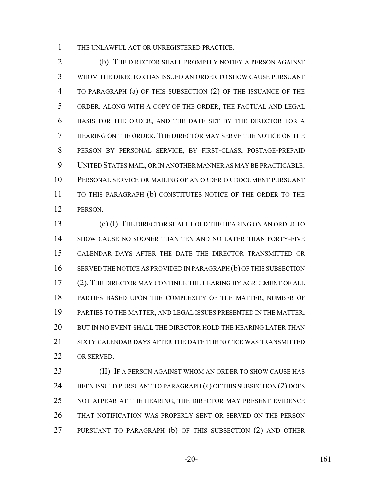THE UNLAWFUL ACT OR UNREGISTERED PRACTICE.

 (b) THE DIRECTOR SHALL PROMPTLY NOTIFY A PERSON AGAINST WHOM THE DIRECTOR HAS ISSUED AN ORDER TO SHOW CAUSE PURSUANT TO PARAGRAPH (a) OF THIS SUBSECTION (2) OF THE ISSUANCE OF THE ORDER, ALONG WITH A COPY OF THE ORDER, THE FACTUAL AND LEGAL BASIS FOR THE ORDER, AND THE DATE SET BY THE DIRECTOR FOR A HEARING ON THE ORDER. THE DIRECTOR MAY SERVE THE NOTICE ON THE PERSON BY PERSONAL SERVICE, BY FIRST-CLASS, POSTAGE-PREPAID UNITED STATES MAIL, OR IN ANOTHER MANNER AS MAY BE PRACTICABLE. PERSONAL SERVICE OR MAILING OF AN ORDER OR DOCUMENT PURSUANT TO THIS PARAGRAPH (b) CONSTITUTES NOTICE OF THE ORDER TO THE PERSON.

 (c) (I) THE DIRECTOR SHALL HOLD THE HEARING ON AN ORDER TO SHOW CAUSE NO SOONER THAN TEN AND NO LATER THAN FORTY-FIVE CALENDAR DAYS AFTER THE DATE THE DIRECTOR TRANSMITTED OR SERVED THE NOTICE AS PROVIDED IN PARAGRAPH (b) OF THIS SUBSECTION (2). THE DIRECTOR MAY CONTINUE THE HEARING BY AGREEMENT OF ALL PARTIES BASED UPON THE COMPLEXITY OF THE MATTER, NUMBER OF PARTIES TO THE MATTER, AND LEGAL ISSUES PRESENTED IN THE MATTER, 20 BUT IN NO EVENT SHALL THE DIRECTOR HOLD THE HEARING LATER THAN SIXTY CALENDAR DAYS AFTER THE DATE THE NOTICE WAS TRANSMITTED OR SERVED.

**(II)** IF A PERSON AGAINST WHOM AN ORDER TO SHOW CAUSE HAS 24 BEEN ISSUED PURSUANT TO PARAGRAPH (a) OF THIS SUBSECTION (2) DOES NOT APPEAR AT THE HEARING, THE DIRECTOR MAY PRESENT EVIDENCE THAT NOTIFICATION WAS PROPERLY SENT OR SERVED ON THE PERSON PURSUANT TO PARAGRAPH (b) OF THIS SUBSECTION (2) AND OTHER

-20- 161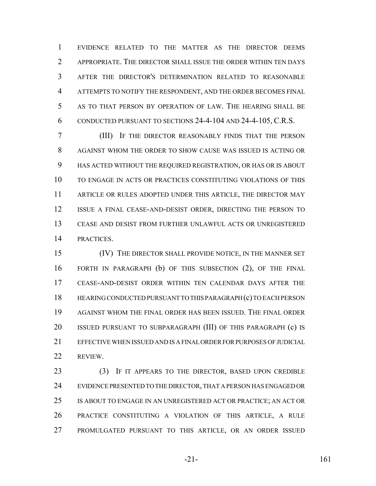EVIDENCE RELATED TO THE MATTER AS THE DIRECTOR DEEMS APPROPRIATE. THE DIRECTOR SHALL ISSUE THE ORDER WITHIN TEN DAYS AFTER THE DIRECTOR'S DETERMINATION RELATED TO REASONABLE ATTEMPTS TO NOTIFY THE RESPONDENT, AND THE ORDER BECOMES FINAL AS TO THAT PERSON BY OPERATION OF LAW. THE HEARING SHALL BE CONDUCTED PURSUANT TO SECTIONS 24-4-104 AND 24-4-105, C.R.S.

 (III) IF THE DIRECTOR REASONABLY FINDS THAT THE PERSON AGAINST WHOM THE ORDER TO SHOW CAUSE WAS ISSUED IS ACTING OR HAS ACTED WITHOUT THE REQUIRED REGISTRATION, OR HAS OR IS ABOUT TO ENGAGE IN ACTS OR PRACTICES CONSTITUTING VIOLATIONS OF THIS 11 ARTICLE OR RULES ADOPTED UNDER THIS ARTICLE, THE DIRECTOR MAY ISSUE A FINAL CEASE-AND-DESIST ORDER, DIRECTING THE PERSON TO CEASE AND DESIST FROM FURTHER UNLAWFUL ACTS OR UNREGISTERED PRACTICES.

 (IV) THE DIRECTOR SHALL PROVIDE NOTICE, IN THE MANNER SET FORTH IN PARAGRAPH (b) OF THIS SUBSECTION (2), OF THE FINAL CEASE-AND-DESIST ORDER WITHIN TEN CALENDAR DAYS AFTER THE HEARING CONDUCTED PURSUANT TO THIS PARAGRAPH (c) TO EACH PERSON AGAINST WHOM THE FINAL ORDER HAS BEEN ISSUED. THE FINAL ORDER 20 ISSUED PURSUANT TO SUBPARAGRAPH (III) OF THIS PARAGRAPH (c) IS EFFECTIVE WHEN ISSUED AND IS A FINAL ORDER FOR PURPOSES OF JUDICIAL REVIEW.

 (3) IF IT APPEARS TO THE DIRECTOR, BASED UPON CREDIBLE EVIDENCE PRESENTED TO THE DIRECTOR, THAT A PERSON HAS ENGAGED OR IS ABOUT TO ENGAGE IN AN UNREGISTERED ACT OR PRACTICE; AN ACT OR PRACTICE CONSTITUTING A VIOLATION OF THIS ARTICLE, A RULE PROMULGATED PURSUANT TO THIS ARTICLE, OR AN ORDER ISSUED

-21- 161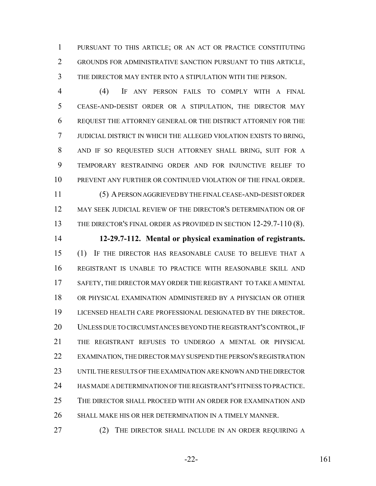PURSUANT TO THIS ARTICLE; OR AN ACT OR PRACTICE CONSTITUTING GROUNDS FOR ADMINISTRATIVE SANCTION PURSUANT TO THIS ARTICLE, THE DIRECTOR MAY ENTER INTO A STIPULATION WITH THE PERSON.

 (4) IF ANY PERSON FAILS TO COMPLY WITH A FINAL CEASE-AND-DESIST ORDER OR A STIPULATION, THE DIRECTOR MAY REQUEST THE ATTORNEY GENERAL OR THE DISTRICT ATTORNEY FOR THE JUDICIAL DISTRICT IN WHICH THE ALLEGED VIOLATION EXISTS TO BRING, AND IF SO REQUESTED SUCH ATTORNEY SHALL BRING, SUIT FOR A TEMPORARY RESTRAINING ORDER AND FOR INJUNCTIVE RELIEF TO PREVENT ANY FURTHER OR CONTINUED VIOLATION OF THE FINAL ORDER. (5) A PERSON AGGRIEVED BY THE FINAL CEASE-AND-DESIST ORDER MAY SEEK JUDICIAL REVIEW OF THE DIRECTOR'S DETERMINATION OR OF

13 THE DIRECTOR'S FINAL ORDER AS PROVIDED IN SECTION 12-29.7-110 (8).

 **12-29.7-112. Mental or physical examination of registrants.** (1) IF THE DIRECTOR HAS REASONABLE CAUSE TO BELIEVE THAT A REGISTRANT IS UNABLE TO PRACTICE WITH REASONABLE SKILL AND SAFETY, THE DIRECTOR MAY ORDER THE REGISTRANT TO TAKE A MENTAL OR PHYSICAL EXAMINATION ADMINISTERED BY A PHYSICIAN OR OTHER LICENSED HEALTH CARE PROFESSIONAL DESIGNATED BY THE DIRECTOR. UNLESS DUE TO CIRCUMSTANCES BEYOND THE REGISTRANT'S CONTROL, IF THE REGISTRANT REFUSES TO UNDERGO A MENTAL OR PHYSICAL EXAMINATION, THE DIRECTOR MAY SUSPEND THE PERSON'S REGISTRATION UNTIL THE RESULTS OF THE EXAMINATION ARE KNOWN AND THE DIRECTOR HAS MADE A DETERMINATION OF THE REGISTRANT'S FITNESS TO PRACTICE. THE DIRECTOR SHALL PROCEED WITH AN ORDER FOR EXAMINATION AND SHALL MAKE HIS OR HER DETERMINATION IN A TIMELY MANNER.

27 (2) THE DIRECTOR SHALL INCLUDE IN AN ORDER REQUIRING A

-22- 161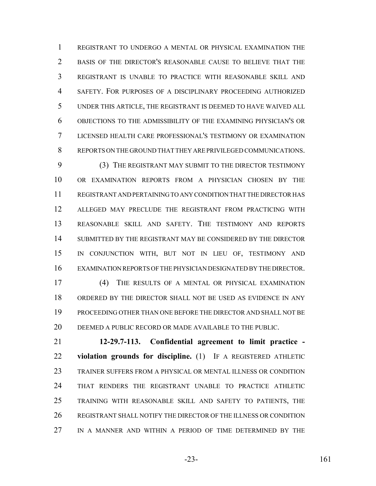REGISTRANT TO UNDERGO A MENTAL OR PHYSICAL EXAMINATION THE BASIS OF THE DIRECTOR'S REASONABLE CAUSE TO BELIEVE THAT THE REGISTRANT IS UNABLE TO PRACTICE WITH REASONABLE SKILL AND SAFETY. FOR PURPOSES OF A DISCIPLINARY PROCEEDING AUTHORIZED UNDER THIS ARTICLE, THE REGISTRANT IS DEEMED TO HAVE WAIVED ALL OBJECTIONS TO THE ADMISSIBILITY OF THE EXAMINING PHYSICIAN'S OR LICENSED HEALTH CARE PROFESSIONAL'S TESTIMONY OR EXAMINATION REPORTS ON THE GROUND THAT THEY ARE PRIVILEGED COMMUNICATIONS.

 (3) THE REGISTRANT MAY SUBMIT TO THE DIRECTOR TESTIMONY OR EXAMINATION REPORTS FROM A PHYSICIAN CHOSEN BY THE REGISTRANT AND PERTAINING TO ANY CONDITION THAT THE DIRECTOR HAS ALLEGED MAY PRECLUDE THE REGISTRANT FROM PRACTICING WITH REASONABLE SKILL AND SAFETY. THE TESTIMONY AND REPORTS SUBMITTED BY THE REGISTRANT MAY BE CONSIDERED BY THE DIRECTOR IN CONJUNCTION WITH, BUT NOT IN LIEU OF, TESTIMONY AND EXAMINATION REPORTS OF THE PHYSICIAN DESIGNATED BY THE DIRECTOR.

 (4) THE RESULTS OF A MENTAL OR PHYSICAL EXAMINATION ORDERED BY THE DIRECTOR SHALL NOT BE USED AS EVIDENCE IN ANY PROCEEDING OTHER THAN ONE BEFORE THE DIRECTOR AND SHALL NOT BE DEEMED A PUBLIC RECORD OR MADE AVAILABLE TO THE PUBLIC.

 **12-29.7-113. Confidential agreement to limit practice - violation grounds for discipline.** (1) IF A REGISTERED ATHLETIC TRAINER SUFFERS FROM A PHYSICAL OR MENTAL ILLNESS OR CONDITION THAT RENDERS THE REGISTRANT UNABLE TO PRACTICE ATHLETIC TRAINING WITH REASONABLE SKILL AND SAFETY TO PATIENTS, THE REGISTRANT SHALL NOTIFY THE DIRECTOR OF THE ILLNESS OR CONDITION IN A MANNER AND WITHIN A PERIOD OF TIME DETERMINED BY THE

-23- 161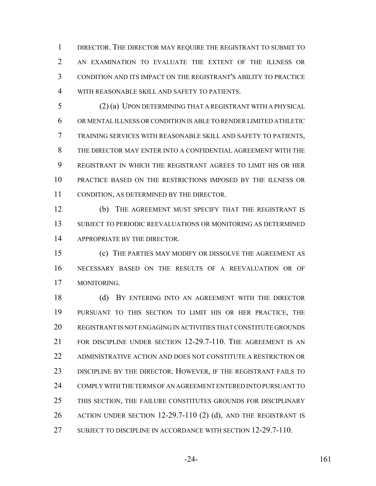DIRECTOR. THE DIRECTOR MAY REQUIRE THE REGISTRANT TO SUBMIT TO 2 AN EXAMINATION TO EVALUATE THE EXTENT OF THE ILLNESS OR CONDITION AND ITS IMPACT ON THE REGISTRANT'S ABILITY TO PRACTICE WITH REASONABLE SKILL AND SAFETY TO PATIENTS.

 (2) (a) UPON DETERMINING THAT A REGISTRANT WITH A PHYSICAL OR MENTAL ILLNESS OR CONDITION IS ABLE TO RENDER LIMITED ATHLETIC TRAINING SERVICES WITH REASONABLE SKILL AND SAFETY TO PATIENTS, THE DIRECTOR MAY ENTER INTO A CONFIDENTIAL AGREEMENT WITH THE REGISTRANT IN WHICH THE REGISTRANT AGREES TO LIMIT HIS OR HER PRACTICE BASED ON THE RESTRICTIONS IMPOSED BY THE ILLNESS OR CONDITION, AS DETERMINED BY THE DIRECTOR.

 (b) THE AGREEMENT MUST SPECIFY THAT THE REGISTRANT IS SUBJECT TO PERIODIC REEVALUATIONS OR MONITORING AS DETERMINED 14 APPROPRIATE BY THE DIRECTOR.

 (c) THE PARTIES MAY MODIFY OR DISSOLVE THE AGREEMENT AS NECESSARY BASED ON THE RESULTS OF A REEVALUATION OR OF MONITORING.

18 (d) BY ENTERING INTO AN AGREEMENT WITH THE DIRECTOR PURSUANT TO THIS SECTION TO LIMIT HIS OR HER PRACTICE, THE REGISTRANT IS NOT ENGAGING IN ACTIVITIES THAT CONSTITUTE GROUNDS FOR DISCIPLINE UNDER SECTION 12-29.7-110. THE AGREEMENT IS AN ADMINISTRATIVE ACTION AND DOES NOT CONSTITUTE A RESTRICTION OR DISCIPLINE BY THE DIRECTOR. HOWEVER, IF THE REGISTRANT FAILS TO COMPLY WITH THE TERMS OF AN AGREEMENT ENTERED INTO PURSUANT TO THIS SECTION, THE FAILURE CONSTITUTES GROUNDS FOR DISCIPLINARY ACTION UNDER SECTION 12-29.7-110 (2) (d), AND THE REGISTRANT IS SUBJECT TO DISCIPLINE IN ACCORDANCE WITH SECTION 12-29.7-110.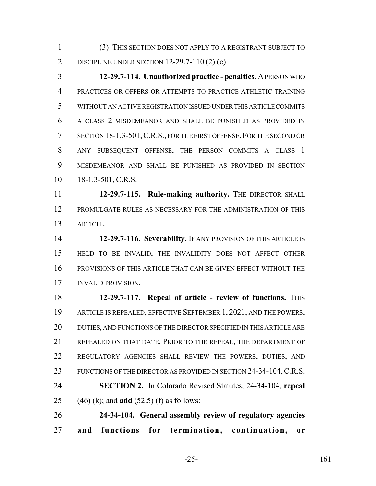(3) THIS SECTION DOES NOT APPLY TO A REGISTRANT SUBJECT TO DISCIPLINE UNDER SECTION 12-29.7-110 (2) (c).

 **12-29.7-114. Unauthorized practice - penalties.** A PERSON WHO PRACTICES OR OFFERS OR ATTEMPTS TO PRACTICE ATHLETIC TRAINING WITHOUT AN ACTIVE REGISTRATION ISSUED UNDER THIS ARTICLE COMMITS A CLASS 2 MISDEMEANOR AND SHALL BE PUNISHED AS PROVIDED IN 7 SECTION 18-1.3-501, C.R.S., FOR THE FIRST OFFENSE. FOR THE SECOND OR ANY SUBSEQUENT OFFENSE, THE PERSON COMMITS A CLASS 1 MISDEMEANOR AND SHALL BE PUNISHED AS PROVIDED IN SECTION 10 18-1.3-501, C.R.S.

 **12-29.7-115. Rule-making authority.** THE DIRECTOR SHALL PROMULGATE RULES AS NECESSARY FOR THE ADMINISTRATION OF THIS ARTICLE.

 **12-29.7-116. Severability.** IF ANY PROVISION OF THIS ARTICLE IS HELD TO BE INVALID, THE INVALIDITY DOES NOT AFFECT OTHER PROVISIONS OF THIS ARTICLE THAT CAN BE GIVEN EFFECT WITHOUT THE INVALID PROVISION.

**12-29.7-117. Repeal of article - review of functions.** THIS ARTICLE IS REPEALED, EFFECTIVE SEPTEMBER 1, 2021, AND THE POWERS, DUTIES, AND FUNCTIONS OF THE DIRECTOR SPECIFIED IN THIS ARTICLE ARE REPEALED ON THAT DATE. PRIOR TO THE REPEAL, THE DEPARTMENT OF REGULATORY AGENCIES SHALL REVIEW THE POWERS, DUTIES, AND 23 FUNCTIONS OF THE DIRECTOR AS PROVIDED IN SECTION 24-34-104, C.R.S. **SECTION 2.** In Colorado Revised Statutes, 24-34-104, **repeal** (46) (k); and **add** (52.5) (f) as follows:

 **24-34-104. General assembly review of regulatory agencies and functions for termination, continuation, or**

-25- 161